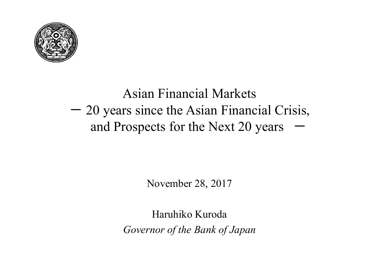

#### Asian Financial Markets - 20 years since the Asian Financial Crisis, and Prospects for the Next 20 years  $-$

November 28, 2017

Haruhiko Kuroda *Governor of the Bank of Japan*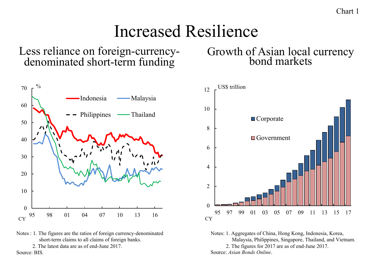Chart 1

### Increased Resilience

Less reliance on foreign-currency- denominated short-term funding



Notes : 1. The figures are the ratios of foreign currency-denominated short-term claims to all claims of foreign banks.

2. The latest data are as of end-June 2017.

Source: BIS.

# Growth of Asian local currency bond markets



Notes: 1. Aggregates of China, Hong Kong, Indonesia, Korea, Malaysia, Philippines, Singapore, Thailand, and Vietnam. 2. The figures for 2017 are as of end-June 2017. Source: *Asian Bonds Online*.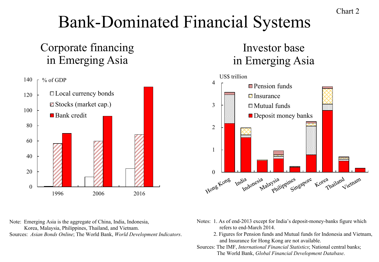## Bank-Dominated Financial Systems

#### Corporate financing in Emerging Asia



#### Investor base in Emerging Asia



Note: Emerging Asia is the aggregate of China, India, Indonesia,

Korea, Malaysia, Philippines, Thailand, and Vietnam. Sources: *Asian Bonds Online*; The World Bank, *World Development Indicators*.

- Notes: 1. As of end-2013 except for India's deposit-money-banks figure which refers to end-March 2014.
	- 2. Figures for Pension funds and Mutual funds for Indonesia and Vietnam, and Insurance for Hong Kong are not available.
- Sources: The IMF, *International Financial Statistics*; National central banks; The World Bank, *Global Financial Development Database*.